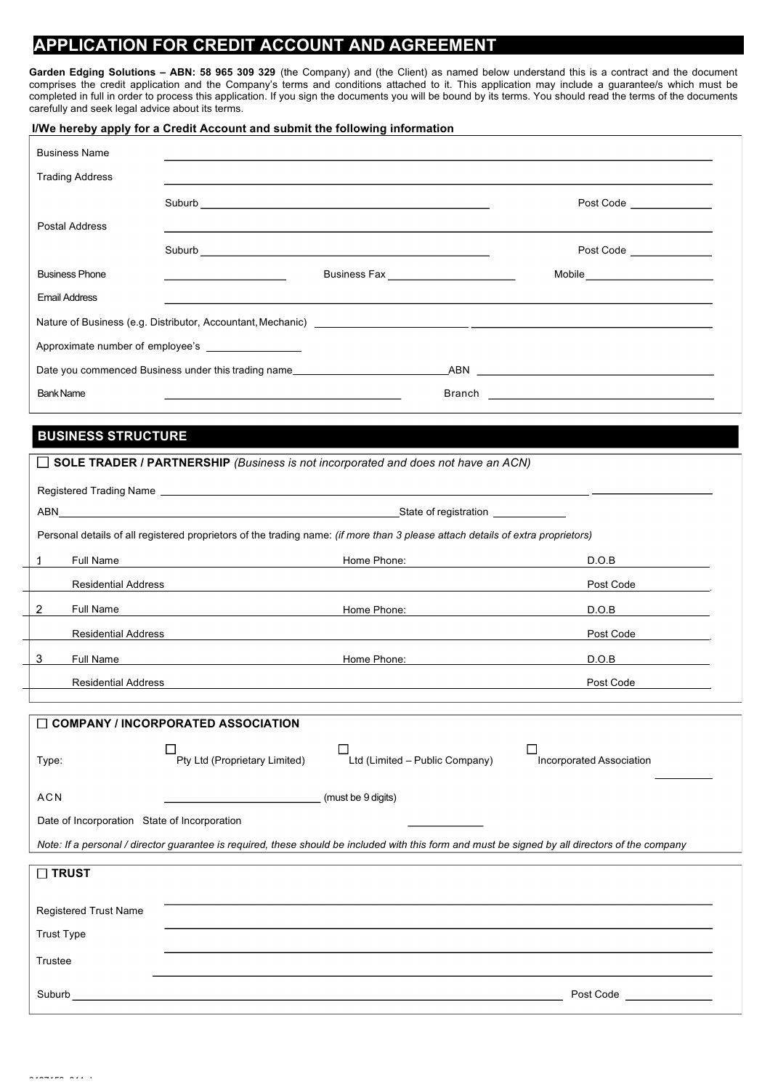## **APPLICATION FOR CREDIT ACCOUNT AND AGREEMENT**

**Garden Edging Solutions – ABN: 58 965 309 329** (the Company) and (the Client) as named below understand this is a contract and the document comprises the credit application and the Company's terms and conditions attached to it. This application may include a guarantee/s which must be completed in full in order to process this application. If you sign the documents you will be bound by its terms. You should read the terms of the documents carefully and seek legal advice about its terms.

# **I/We hereby apply for a Credit Account and submit the following information**

| <b>Business Name</b>                                                  |                                              |                                          |  |                                    |
|-----------------------------------------------------------------------|----------------------------------------------|------------------------------------------|--|------------------------------------|
| <b>Trading Address</b>                                                |                                              |                                          |  |                                    |
|                                                                       |                                              |                                          |  | Post Code ______________           |
| Postal Address                                                        |                                              |                                          |  |                                    |
|                                                                       |                                              |                                          |  | Post Code ______________           |
| <b>Business Phone</b>                                                 | the control of the control of the control of | Business Fax ___________________________ |  | Mobile____________________________ |
| <b>Email Address</b>                                                  |                                              |                                          |  |                                    |
|                                                                       |                                              |                                          |  |                                    |
| Approximate number of employee's                                      |                                              |                                          |  |                                    |
| Date you commenced Business under this trading name<br>ABN <b>ABN</b> |                                              |                                          |  |                                    |
| <b>Bank Name</b><br>Branch                                            |                                              |                                          |  |                                    |

## **BUSINESS STRUCTURE**

| $\Box$ SOLE TRADER / PARTNERSHIP (Business is not incorporated and does not have an ACN) |                                           |                                                                                                                                                  |                                               |  |  |
|------------------------------------------------------------------------------------------|-------------------------------------------|--------------------------------------------------------------------------------------------------------------------------------------------------|-----------------------------------------------|--|--|
|                                                                                          |                                           |                                                                                                                                                  |                                               |  |  |
|                                                                                          |                                           |                                                                                                                                                  |                                               |  |  |
|                                                                                          |                                           | Personal details of all registered proprietors of the trading name: (if more than 3 please attach details of extra proprietors)                  |                                               |  |  |
| Full Name<br>$\mathbf{1}$                                                                | <u> 1989 - Johann Barbara, martin d</u>   | Home Phone:                                                                                                                                      | D.O.B                                         |  |  |
| <b>Residential Address</b>                                                               |                                           |                                                                                                                                                  | Post Code                                     |  |  |
| Full Name<br>$\overline{2}$                                                              |                                           | Home Phone:                                                                                                                                      | D.O.B                                         |  |  |
| <b>Residential Address</b>                                                               |                                           |                                                                                                                                                  | Post Code <b>Communist Communist Contract</b> |  |  |
| 3<br>Full Name                                                                           |                                           | Home Phone:                                                                                                                                      | D.O.B                                         |  |  |
| <b>Residential Address</b>                                                               |                                           |                                                                                                                                                  | Post Code                                     |  |  |
|                                                                                          |                                           |                                                                                                                                                  |                                               |  |  |
|                                                                                          | $\Box$ COMPANY / INCORPORATED ASSOCIATION |                                                                                                                                                  |                                               |  |  |
| Type:                                                                                    | Pty Ltd (Proprietary Limited)             | Ltd (Limited - Public Company)                                                                                                                   | П<br><b>Incorporated Association</b>          |  |  |
| <b>ACN</b>                                                                               |                                           | (must be 9 digits)                                                                                                                               |                                               |  |  |
| Date of Incorporation State of Incorporation                                             |                                           |                                                                                                                                                  |                                               |  |  |
|                                                                                          |                                           | Note: If a personal / director guarantee is required, these should be included with this form and must be signed by all directors of the company |                                               |  |  |
| $\square$ TRUST                                                                          |                                           |                                                                                                                                                  |                                               |  |  |
|                                                                                          |                                           |                                                                                                                                                  |                                               |  |  |
| <b>Registered Trust Name</b>                                                             |                                           |                                                                                                                                                  |                                               |  |  |
| <b>Trust Type</b>                                                                        |                                           |                                                                                                                                                  |                                               |  |  |
| Trustee                                                                                  |                                           |                                                                                                                                                  |                                               |  |  |
| Suburb                                                                                   |                                           |                                                                                                                                                  | Post Code _______________                     |  |  |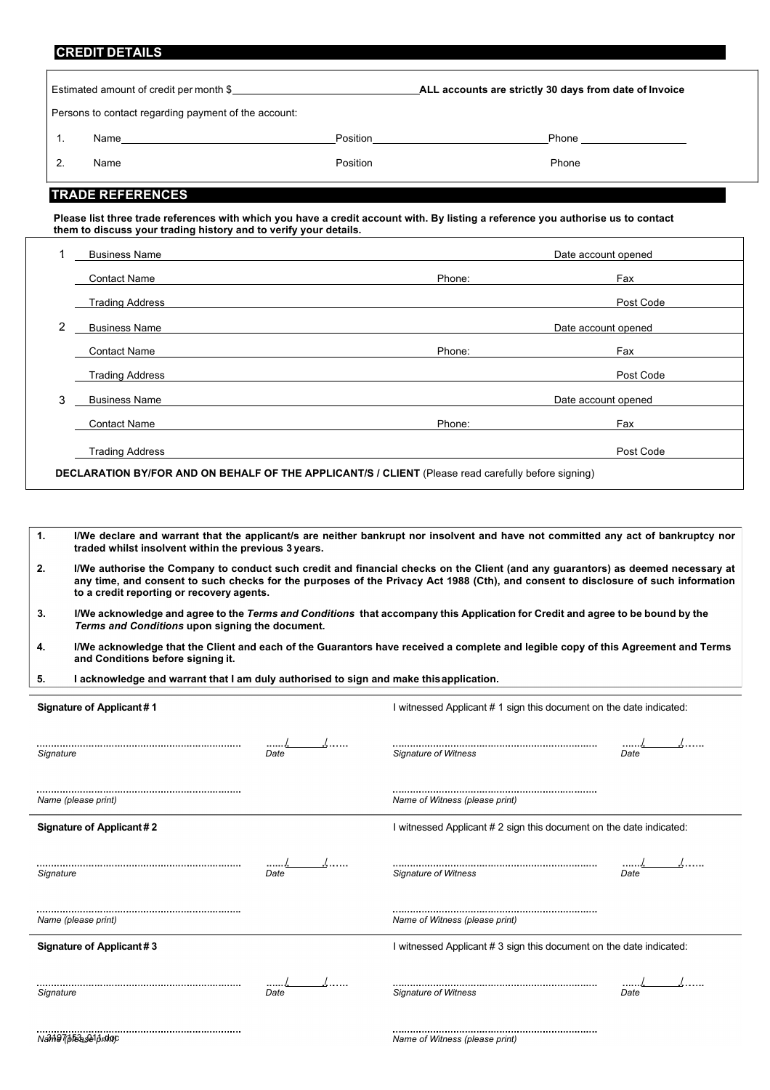## **CREDIT DETAILS**

|    | Estimated amount of credit per month \$              |          | ALL accounts are strictly 30 days from date of Invoice             |  |
|----|------------------------------------------------------|----------|--------------------------------------------------------------------|--|
|    | Persons to contact regarding payment of the account: |          |                                                                    |  |
|    |                                                      |          | Position___________________________<br>Phone _____________________ |  |
| 2. | Name                                                 | Position | Phone                                                              |  |
|    | <b>TRADE REFERENCES</b>                              |          |                                                                    |  |

**Please list three trade references with which you have a credit account with. By listing a reference you authorise us to contact them to discuss your trading history and to verify your details.**

|   | <b>Business Name</b>   |                                                                                                     | Date account opened |
|---|------------------------|-----------------------------------------------------------------------------------------------------|---------------------|
|   | <b>Contact Name</b>    | Phone:                                                                                              | Fax                 |
|   | <b>Trading Address</b> |                                                                                                     | Post Code           |
| 2 | <b>Business Name</b>   |                                                                                                     | Date account opened |
|   | <b>Contact Name</b>    | Phone:                                                                                              | Fax                 |
|   | <b>Trading Address</b> |                                                                                                     | Post Code           |
| 3 | <b>Business Name</b>   |                                                                                                     | Date account opened |
|   | <b>Contact Name</b>    | Phone:                                                                                              | Fax                 |
|   | <b>Trading Address</b> |                                                                                                     | Post Code           |
|   |                        | DECLARATION BY/FOR AND ON BEHALF OF THE APPLICANT/S / CLIENT (Please read carefully before signing) |                     |

| $\mathbf{1}$ .           | traded whilst insolvent within the previous 3 years.                                                                                                                                                                                                                                                                | I/We declare and warrant that the applicant/s are neither bankrupt nor insolvent and have not committed any act of bankruptcy nor |  |  |
|--------------------------|---------------------------------------------------------------------------------------------------------------------------------------------------------------------------------------------------------------------------------------------------------------------------------------------------------------------|-----------------------------------------------------------------------------------------------------------------------------------|--|--|
| 2.                       | I/We authorise the Company to conduct such credit and financial checks on the Client (and any quarantors) as deemed necessary at<br>any time, and consent to such checks for the purposes of the Privacy Act 1988 (Cth), and consent to disclosure of such information<br>to a credit reporting or recovery agents. |                                                                                                                                   |  |  |
| 3.                       | I/We acknowledge and agree to the Terms and Conditions that accompany this Application for Credit and agree to be bound by the<br>Terms and Conditions upon signing the document.                                                                                                                                   |                                                                                                                                   |  |  |
| 4.                       | I/We acknowledge that the Client and each of the Guarantors have received a complete and legible copy of this Agreement and Terms<br>and Conditions before signing it.                                                                                                                                              |                                                                                                                                   |  |  |
| 5.                       | I acknowledge and warrant that I am duly authorised to sign and make this application.                                                                                                                                                                                                                              |                                                                                                                                   |  |  |
|                          |                                                                                                                                                                                                                                                                                                                     |                                                                                                                                   |  |  |
| Signature of Applicant#1 |                                                                                                                                                                                                                                                                                                                     | I witnessed Applicant # 1 sign this document on the date indicated:                                                               |  |  |
|                          |                                                                                                                                                                                                                                                                                                                     |                                                                                                                                   |  |  |

| Signature                | Date | Signature of Witness                                                | Date     |
|--------------------------|------|---------------------------------------------------------------------|----------|
| Name (please print)      |      | Name of Witness (please print)                                      |          |
| Signature of Applicant#2 |      | I witnessed Applicant # 2 sign this document on the date indicated: |          |
| Signature                | Date | Signature of Witness                                                | <br>Date |
| Name (please print)      |      | Name of Witness (please print)                                      |          |
| Signature of Applicant#3 |      | I witnessed Applicant # 3 sign this document on the date indicated: |          |
| <br>Signature            | Date | Signature of Witness                                                | Date     |
| Name (blease1 primp      |      | Name of Witness (please print)                                      |          |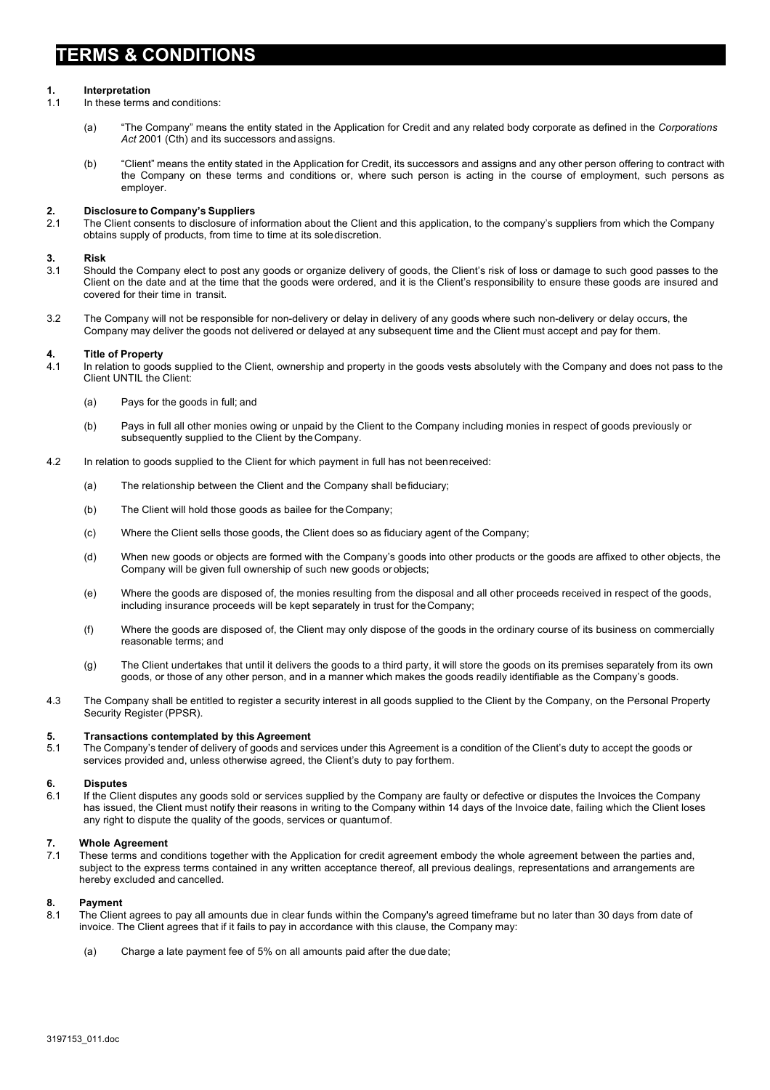# **TERMS & CONDITIONS**

# **1. Interpretation**

In these terms and conditions:

- (a) "The Company" means the entity stated in the Application for Credit and any related body corporate as defined in the *Corporations Act* 2001 (Cth) and its successors and assigns.
- (b) "Client" means the entity stated in the Application for Credit, its successors and assigns and any other person offering to contract with the Company on these terms and conditions or, where such person is acting in the course of employment, such persons as employer.

#### **2. Disclosure to Company's Suppliers**

2.1 The Client consents to disclosure of information about the Client and this application, to the company's suppliers from which the Company obtains supply of products, from time to time at its solediscretion.

### **3. Risk**

- 3.1 Should the Company elect to post any goods or organize delivery of goods, the Client's risk of loss or damage to such good passes to the Client on the date and at the time that the goods were ordered, and it is the Client's responsibility to ensure these goods are insured and covered for their time in transit.
- 3.2 The Company will not be responsible for non-delivery or delay in delivery of any goods where such non-delivery or delay occurs, the Company may deliver the goods not delivered or delayed at any subsequent time and the Client must accept and pay for them.

### **4. Title of Property**

4.1 In relation to goods supplied to the Client, ownership and property in the goods vests absolutely with the Company and does not pass to the Client UNTIL the Client:

- (a) Pays for the goods in full; and
- (b) Pays in full all other monies owing or unpaid by the Client to the Company including monies in respect of goods previously or subsequently supplied to the Client by the Company.
- 4.2 In relation to goods supplied to the Client for which payment in full has not beenreceived:
	- (a) The relationship between the Client and the Company shall befiduciary;
	- (b) The Client will hold those goods as bailee for the Company;
	- (c) Where the Client sells those goods, the Client does so as fiduciary agent of the Company;
	- (d) When new goods or objects are formed with the Company's goods into other products or the goods are affixed to other objects, the Company will be given full ownership of such new goods orobjects;
	- (e) Where the goods are disposed of, the monies resulting from the disposal and all other proceeds received in respect of the goods, including insurance proceeds will be kept separately in trust for theCompany;
	- (f) Where the goods are disposed of, the Client may only dispose of the goods in the ordinary course of its business on commercially reasonable terms; and
	- (g) The Client undertakes that until it delivers the goods to a third party, it will store the goods on its premises separately from its own goods, or those of any other person, and in a manner which makes the goods readily identifiable as the Company's goods.
- 4.3 The Company shall be entitled to register a security interest in all goods supplied to the Client by the Company, on the Personal Property Security Register (PPSR).

#### **5. Transactions contemplated by this Agreement**

5.1 The Company's tender of delivery of goods and services under this Agreement is a condition of the Client's duty to accept the goods or services provided and, unless otherwise agreed, the Client's duty to pay for them.

### **6. Disputes**

6.1 If the Client disputes any goods sold or services supplied by the Company are faulty or defective or disputes the Invoices the Company has issued, the Client must notify their reasons in writing to the Company within 14 days of the Invoice date, failing which the Client loses any right to dispute the quality of the goods, services or quantumof.

# **7. Whole Agreement**

These terms and conditions together with the Application for credit agreement embody the whole agreement between the parties and, subject to the express terms contained in any written acceptance thereof, all previous dealings, representations and arrangements are hereby excluded and cancelled.

### **8. Payment**

- 8.1 The Client agrees to pay all amounts due in clear funds within the Company's agreed timeframe but no later than 30 days from date of invoice. The Client agrees that if it fails to pay in accordance with this clause, the Company may:
	- (a) Charge a late payment fee of 5% on all amounts paid after the due date;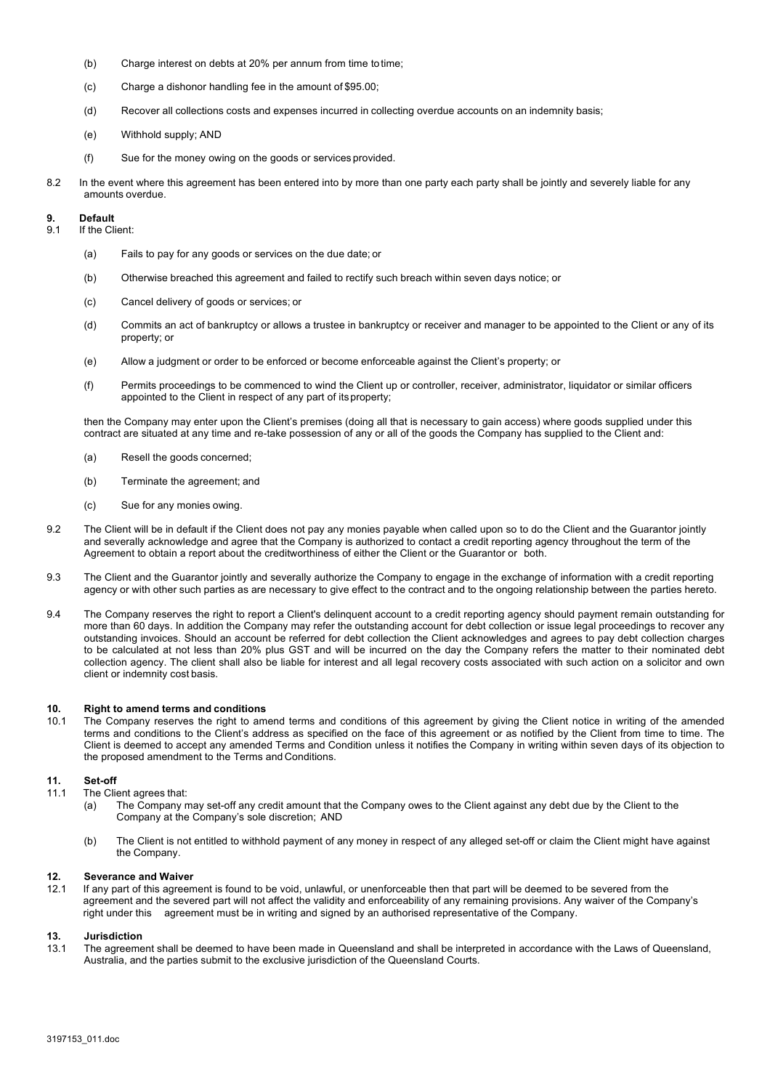- (b) Charge interest on debts at 20% per annum from time to time;
- (c) Charge a dishonor handling fee in the amount of \$95.00;
- (d) Recover all collections costs and expenses incurred in collecting overdue accounts on an indemnity basis;
- (e) Withhold supply; AND
- (f) Sue for the money owing on the goods or services provided.
- 8.2 In the event where this agreement has been entered into by more than one party each party shall be jointly and severely liable for any amounts overdue.

### **9. Default**

- 9.1 If the Client:
	- (a) Fails to pay for any goods or services on the due date; or
	- (b) Otherwise breached this agreement and failed to rectify such breach within seven days notice; or
	- (c) Cancel delivery of goods or services; or
	- (d) Commits an act of bankruptcy or allows a trustee in bankruptcy or receiver and manager to be appointed to the Client or any of its property; or
	- (e) Allow a judgment or order to be enforced or become enforceable against the Client's property; or
	- (f) Permits proceedings to be commenced to wind the Client up or controller, receiver, administrator, liquidator or similar officers appointed to the Client in respect of any part of itsproperty;

then the Company may enter upon the Client's premises (doing all that is necessary to gain access) where goods supplied under this contract are situated at any time and re-take possession of any or all of the goods the Company has supplied to the Client and:

- (a) Resell the goods concerned;
- (b) Terminate the agreement; and
- (c) Sue for any monies owing.
- 9.2 The Client will be in default if the Client does not pay any monies payable when called upon so to do the Client and the Guarantor jointly and severally acknowledge and agree that the Company is authorized to contact a credit reporting agency throughout the term of the Agreement to obtain a report about the creditworthiness of either the Client or the Guarantor or both.
- 9.3 The Client and the Guarantor jointly and severally authorize the Company to engage in the exchange of information with a credit reporting agency or with other such parties as are necessary to give effect to the contract and to the ongoing relationship between the parties hereto.
- 9.4 The Company reserves the right to report a Client's delinquent account to a credit reporting agency should payment remain outstanding for more than 60 days. In addition the Company may refer the outstanding account for debt collection or issue legal proceedings to recover any outstanding invoices. Should an account be referred for debt collection the Client acknowledges and agrees to pay debt collection charges to be calculated at not less than 20% plus GST and will be incurred on the day the Company refers the matter to their nominated debt collection agency. The client shall also be liable for interest and all legal recovery costs associated with such action on a solicitor and own client or indemnity cost basis.

#### **10. Right to amend terms and conditions**

10.1 The Company reserves the right to amend terms and conditions of this agreement by giving the Client notice in writing of the amended terms and conditions to the Client's address as specified on the face of this agreement or as notified by the Client from time to time. The Client is deemed to accept any amended Terms and Condition unless it notifies the Company in writing within seven days of its objection to the proposed amendment to the Terms and Conditions.

#### **11. Set-off**

- 11.1 The Client agrees that:
	- (a) The Company may set-off any credit amount that the Company owes to the Client against any debt due by the Client to the Company at the Company's sole discretion; AND
	- (b) The Client is not entitled to withhold payment of any money in respect of any alleged set-off or claim the Client might have against the Company.

#### **12. Severance and Waiver**

12.1 If any part of this agreement is found to be void, unlawful, or unenforceable then that part will be deemed to be severed from the agreement and the severed part will not affect the validity and enforceability of any remaining provisions. Any waiver of the Company's right under this agreement must be in writing and signed by an authorised representative of the Company.

#### **13. Jurisdiction**

13.1 The agreement shall be deemed to have been made in Queensland and shall be interpreted in accordance with the Laws of Queensland, Australia, and the parties submit to the exclusive jurisdiction of the Queensland Courts.